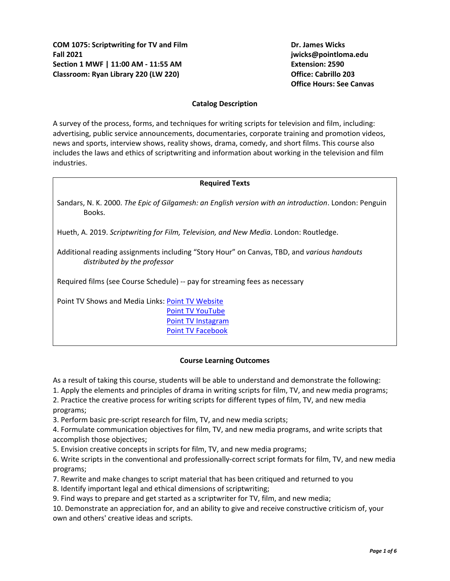**Office Hours: See Canvas**

## **Catalog Description**

A survey of the process, forms, and techniques for writing scripts for television and film, including: advertising, public service announcements, documentaries, corporate training and promotion videos, news and sports, interview shows, reality shows, drama, comedy, and short films. This course also includes the laws and ethics of scriptwriting and information about working in the television and film industries.

#### **Required Texts**

Sandars, N. K. 2000. *The Epic of Gilgamesh: an English version with an introduction*. London: Penguin Books.

Hueth, A. 2019. *Scriptwriting for Film, Television, and New Media*. London: Routledge.

Additional reading assignments including "Story Hour" on Canvas, TBD, and *various handouts distributed by the professor*

Required films (see Course Schedule) -- pay for streaming fees as necessary

Point TV Shows and Media Links: [Point TV Website](https://pointtvplnu.com/) [Point TV YouTube](https://www.youtube.com/channel/UCbSHEdR_GA73Wpay3g4OuBQ) Point [TV Instagram](https://www.instagram.com/pointtvplnu/?utm_source=ig_profile_share&igshid=vbmuuhg5anps) [Point TV Facebook](https://m.facebook.com/PointTV/?ref=hl)

#### **Course Learning Outcomes**

As a result of taking this course, students will be able to understand and demonstrate the following:

1. Apply the elements and principles of drama in writing scripts for film, TV, and new media programs;

2. Practice the creative process for writing scripts for different types of film, TV, and new media programs;

3. Perform basic pre-script research for film, TV, and new media scripts;

4. Formulate communication objectives for film, TV, and new media programs, and write scripts that accomplish those objectives;

5. Envision creative concepts in scripts for film, TV, and new media programs;

6. Write scripts in the conventional and professionally-correct script formats for film, TV, and new media programs;

7. Rewrite and make changes to script material that has been critiqued and returned to you

8. Identify important legal and ethical dimensions of scriptwriting;

9. Find ways to prepare and get started as a scriptwriter for TV, film, and new media;

10. Demonstrate an appreciation for, and an ability to give and receive constructive criticism of, your own and others' creative ideas and scripts.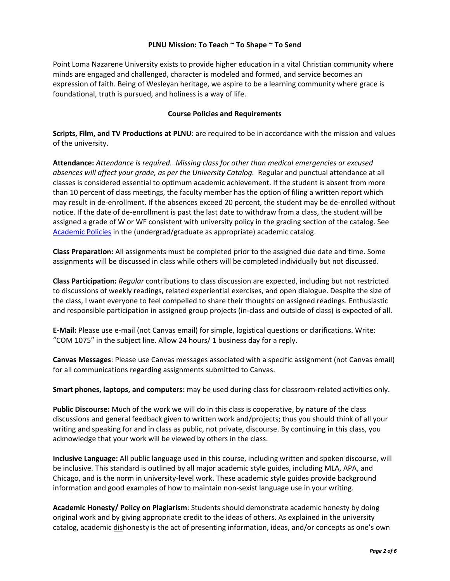# **PLNU Mission: To Teach ~ To Shape ~ To Send**

Point Loma Nazarene University exists to provide higher education in a vital Christian community where minds are engaged and challenged, character is modeled and formed, and service becomes an expression of faith. Being of Wesleyan heritage, we aspire to be a learning community where grace is foundational, truth is pursued, and holiness is a way of life.

## **Course Policies and Requirements**

**Scripts, Film, and TV Productions at PLNU**: are required to be in accordance with the mission and values of the university.

**Attendance:** *Attendance is required. Missing class for other than medical emergencies or excused absences will affect your grade, as per the University Catalog.* Regular and punctual attendance at all classes is considered essential to optimum academic achievement. If the student is absent from more than 10 percent of class meetings, the faculty member has the option of filing a written report which may result in de-enrollment. If the absences exceed 20 percent, the student may be de-enrolled without notice. If the date of de-enrollment is past the last date to withdraw from a class, the student will be assigned a grade of W or WF consistent with university policy in the grading section of the catalog. See [Academic Policies](http://catalog.pointloma.edu/content.php?catoid=24&navoid=1581) in the (undergrad/graduate as appropriate) academic catalog.

**Class Preparation:** All assignments must be completed prior to the assigned due date and time. Some assignments will be discussed in class while others will be completed individually but not discussed.

**Class Participation:** *Regular* contributions to class discussion are expected, including but not restricted to discussions of weekly readings, related experiential exercises, and open dialogue. Despite the size of the class, I want everyone to feel compelled to share their thoughts on assigned readings. Enthusiastic and responsible participation in assigned group projects (in-class and outside of class) is expected of all.

**E-Mail:** Please use e-mail (not Canvas email) for simple, logistical questions or clarifications. Write: "COM 1075" in the subject line. Allow 24 hours/ 1 business day for a reply.

**Canvas Messages**: Please use Canvas messages associated with a specific assignment (not Canvas email) for all communications regarding assignments submitted to Canvas.

**Smart phones, laptops, and computers:** may be used during class for classroom-related activities only.

**Public Discourse:** Much of the work we will do in this class is cooperative, by nature of the class discussions and general feedback given to written work and/projects; thus you should think of all your writing and speaking for and in class as public, not private, discourse. By continuing in this class, you acknowledge that your work will be viewed by others in the class.

**Inclusive Language:** All public language used in this course, including written and spoken discourse, will be inclusive. This standard is outlined by all major academic style guides, including MLA, APA, and Chicago, and is the norm in university-level work. These academic style guides provide background information and good examples of how to maintain non-sexist language use in your writing.

**Academic Honesty/ Policy on Plagiarism**: Students should demonstrate academic honesty by doing original work and by giving appropriate credit to the ideas of others. As explained in the university catalog, academic dishonesty is the act of presenting information, ideas, and/or concepts as one's own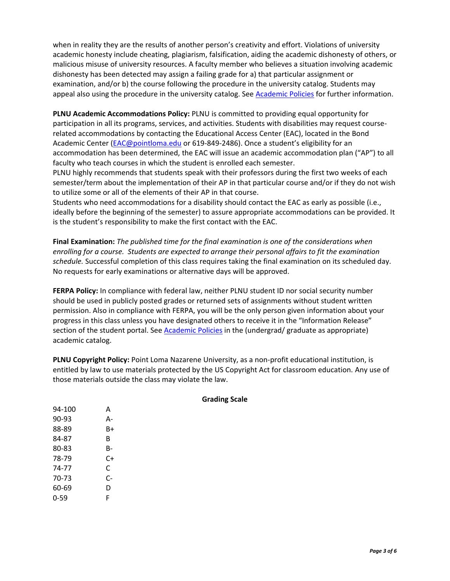when in reality they are the results of another person's creativity and effort. Violations of university academic honesty include cheating, plagiarism, falsification, aiding the academic dishonesty of others, or malicious misuse of university resources. A faculty member who believes a situation involving academic dishonesty has been detected may assign a failing grade for a) that particular assignment or examination, and/or b) the course following the procedure in the university catalog. Students may appeal also using the procedure in the university catalog. See [Academic Policies](http://catalog.pointloma.edu/content.php?catoid=24&navoid=1581#Academic_Honesty) for further information.

**PLNU Academic Accommodations Policy:** PLNU is committed to providing equal opportunity for participation in all its programs, services, and activities. Students with disabilities may request courserelated accommodations by contacting the Educational Access Center (EAC), located in the Bond Academic Center [\(EAC@pointloma.edu](mailto:EAC@pointloma.edu) or 619-849-2486). Once a student's eligibility for an accommodation has been determined, the EAC will issue an academic accommodation plan ("AP") to all faculty who teach courses in which the student is enrolled each semester.

PLNU highly recommends that students speak with their professors during the first two weeks of each semester/term about the implementation of their AP in that particular course and/or if they do not wish to utilize some or all of the elements of their AP in that course.

Students who need accommodations for a disability should contact the EAC as early as possible (i.e., ideally before the beginning of the semester) to assure appropriate accommodations can be provided. It is the student's responsibility to make the first contact with the EAC.

**Final Examination:** *The published time for the final examination is one of the considerations when enrolling for a course. Students are expected to arrange their personal affairs to fit the examination schedule.* Successful completion of this class requires taking the final examination on its scheduled day. No requests for early examinations or alternative days will be approved.

**FERPA Policy:** In compliance with federal law, neither PLNU student ID nor social security number should be used in publicly posted grades or returned sets of assignments without student written permission. Also in compliance with FERPA, you will be the only person given information about your progress in this class unless you have designated others to receive it in the "Information Release" section of the student portal. See [Academic Policies](http://catalog.pointloma.edu/content.php?catoid=24&navoid=1581) in the (undergrad/ graduate as appropriate) academic catalog.

**PLNU Copyright Policy:** Point Loma Nazarene University, as a non-profit educational institution, is entitled by law to use materials protected by the US Copyright Act for classroom education. Any use of those materials outside the class may violate the law.

| 94-100 | А  |
|--------|----|
| 90-93  | А- |
| 88-89  | B+ |
| 84-87  | в  |
| 80-83  | B- |
| 78-79  | C+ |
| 74-77  | C  |
| 70-73  | C- |
| 60-69  | D  |
| 0-59   | F  |

## **Grading Scale**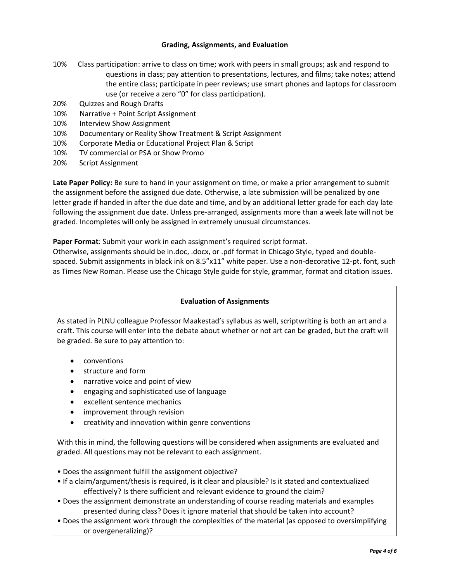## **Grading, Assignments, and Evaluation**

- 10% Class participation: arrive to class on time; work with peers in small groups; ask and respond to questions in class; pay attention to presentations, lectures, and films; take notes; attend the entire class; participate in peer reviews; use smart phones and laptops for classroom use (or receive a zero "0" for class participation).
- 20% Quizzes and Rough Drafts
- 10% Narrative + Point Script Assignment
- 10% Interview Show Assignment
- 10% Documentary or Reality Show Treatment & Script Assignment
- 10% Corporate Media or Educational Project Plan & Script
- 10% TV commercial or PSA or Show Promo
- 20% Script Assignment

**Late Paper Policy:** Be sure to hand in your assignment on time, or make a prior arrangement to submit the assignment before the assigned due date. Otherwise, a late submission will be penalized by one letter grade if handed in after the due date and time, and by an additional letter grade for each day late following the assignment due date. Unless pre-arranged, assignments more than a week late will not be graded. Incompletes will only be assigned in extremely unusual circumstances.

**Paper Format**: Submit your work in each assignment's required script format.

Otherwise, assignments should be in.doc, .docx, or .pdf format in Chicago Style, typed and doublespaced. Submit assignments in black ink on 8.5"x11" white paper. Use a non-decorative 12-pt. font, such as Times New Roman. Please use the Chicago Style guide for style, grammar, format and citation issues.

## **Evaluation of Assignments**

As stated in PLNU colleague Professor Maakestad's syllabus as well, scriptwriting is both an art and a craft. This course will enter into the debate about whether or not art can be graded, but the craft will be graded. Be sure to pay attention to:

- conventions
- structure and form
- narrative voice and point of view
- engaging and sophisticated use of language
- excellent sentence mechanics
- improvement through revision
- creativity and innovation within genre conventions

With this in mind, the following questions will be considered when assignments are evaluated and graded. All questions may not be relevant to each assignment.

- Does the assignment fulfill the assignment objective?
- If a claim/argument/thesis is required, is it clear and plausible? Is it stated and contextualized effectively? Is there sufficient and relevant evidence to ground the claim?
- Does the assignment demonstrate an understanding of course reading materials and examples presented during class? Does it ignore material that should be taken into account?
- Does the assignment work through the complexities of the material (as opposed to oversimplifying or overgeneralizing)?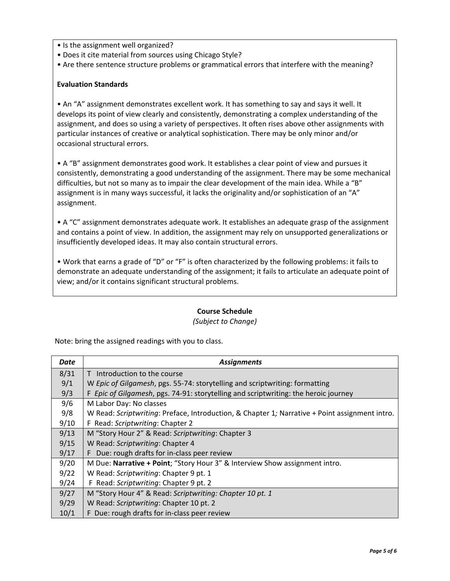- Is the assignment well organized?
- Does it cite material from sources using Chicago Style?
- Are there sentence structure problems or grammatical errors that interfere with the meaning?

# **Evaluation Standards**

• An "A" assignment demonstrates excellent work. It has something to say and says it well. It develops its point of view clearly and consistently, demonstrating a complex understanding of the assignment, and does so using a variety of perspectives. It often rises above other assignments with particular instances of creative or analytical sophistication. There may be only minor and/or occasional structural errors.

• A "B" assignment demonstrates good work. It establishes a clear point of view and pursues it consistently, demonstrating a good understanding of the assignment. There may be some mechanical difficulties, but not so many as to impair the clear development of the main idea. While a "B" assignment is in many ways successful, it lacks the originality and/or sophistication of an "A" assignment.

• A "C" assignment demonstrates adequate work. It establishes an adequate grasp of the assignment and contains a point of view. In addition, the assignment may rely on unsupported generalizations or insufficiently developed ideas. It may also contain structural errors.

• Work that earns a grade of "D" or "F" is often characterized by the following problems: it fails to demonstrate an adequate understanding of the assignment; it fails to articulate an adequate point of view; and/or it contains significant structural problems.

## **Course Schedule**

## *(Subject to Change)*

Note: bring the assigned readings with you to class.

| Date | <b>Assignments</b>                                                                             |
|------|------------------------------------------------------------------------------------------------|
| 8/31 | T Introduction to the course                                                                   |
| 9/1  | W Epic of Gilgamesh, pgs. 55-74: storytelling and scriptwriting: formatting                    |
| 9/3  | F Epic of Gilgamesh, pgs. 74-91: storytelling and scriptwriting: the heroic journey            |
| 9/6  | M Labor Day: No classes                                                                        |
| 9/8  | W Read: Scriptwriting: Preface, Introduction, & Chapter 1; Narrative + Point assignment intro. |
| 9/10 | F Read: Scriptwriting: Chapter 2                                                               |
| 9/13 | M "Story Hour 2" & Read: Scriptwriting: Chapter 3                                              |
| 9/15 | W Read: Scriptwriting: Chapter 4                                                               |
| 9/17 | Due: rough drafts for in-class peer review<br>F.                                               |
| 9/20 | M Due: Narrative + Point; "Story Hour 3" & Interview Show assignment intro.                    |
| 9/22 | W Read: Scriptwriting: Chapter 9 pt. 1                                                         |
| 9/24 | F Read: Scriptwriting: Chapter 9 pt. 2                                                         |
| 9/27 | M "Story Hour 4" & Read: Scriptwriting: Chapter 10 pt. 1                                       |
| 9/29 | W Read: Scriptwriting: Chapter 10 pt. 2                                                        |
| 10/1 | F Due: rough drafts for in-class peer review                                                   |